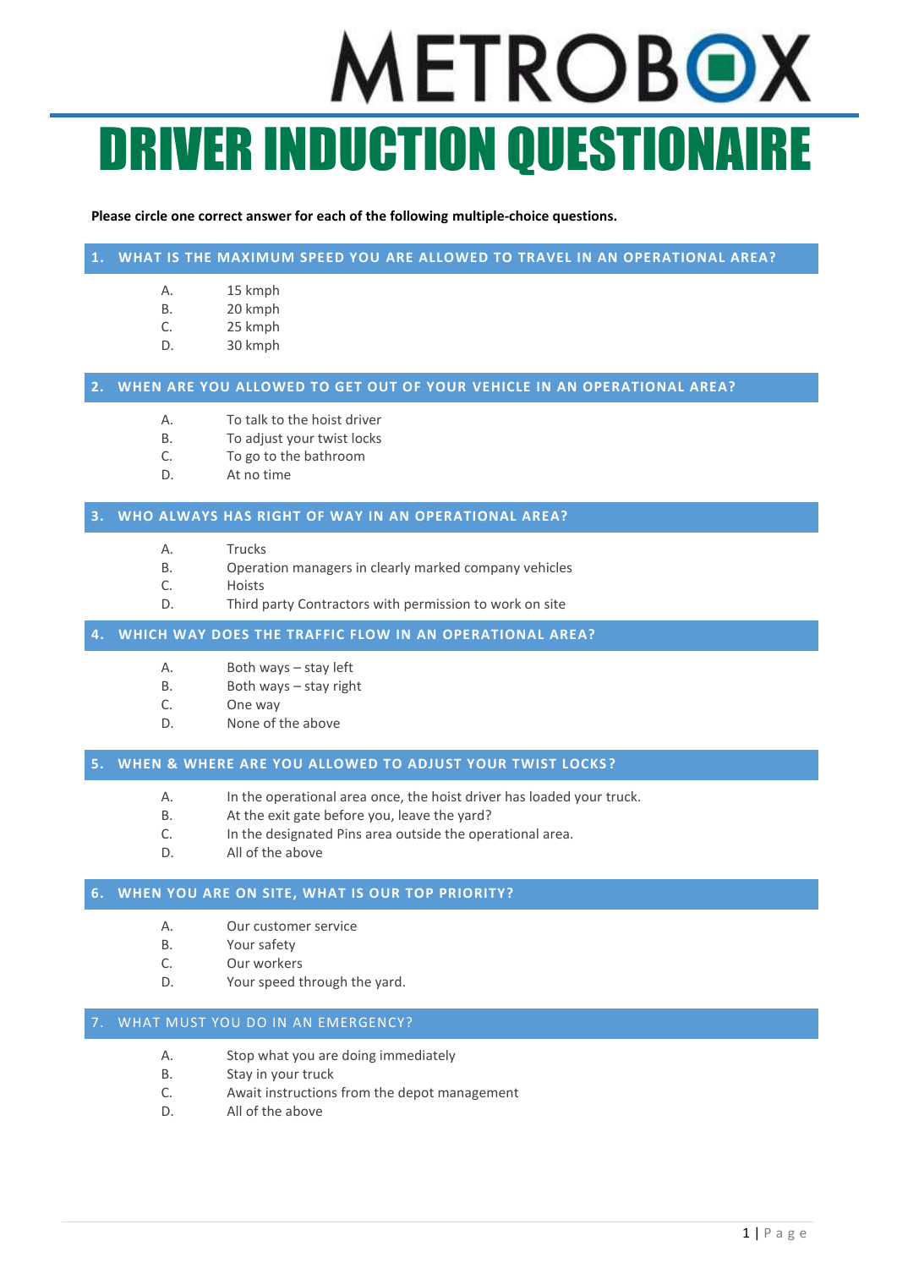# METROBOX DRIVER INDUCTION QUESTIONAIRE

### **Please circle one correct answer for each of the following multiple-choice questions.**

# **1. WHAT IS THE MAXIMUM SPEED YOU ARE ALLOWED TO TRAVEL IN AN OPERATIONAL AREA?**

- A. 15 kmph
- B. 20 kmph
- C. 25 kmph
- D. 30 kmph

## **2. WHEN ARE YOU ALLOWED TO GET OUT OF YOUR VEHICLE IN AN OPERATIONAL AREA?**

- A. To talk to the hoist driver
- B. To adjust your twist locks
- C. To go to the bathroom
- D. At no time

### **3. WHO ALWAYS HAS RIGHT OF WAY IN AN OPERATIONAL AREA?**

- A. Trucks
- B. Operation managers in clearly marked company vehicles
- C. Hoists
- D. Third party Contractors with permission to work on site

## **4. WHICH WAY DOES THE TRAFFIC FLOW IN AN OPERATIONAL AREA?**

- A. Both ways stay left
- B. Both ways stay right
- C. One way
- D. None of the above

## **5. WHEN & WHERE ARE YOU ALLOWED TO ADJUST YOUR TWIST LOCKS ?**

- A. In the operational area once, the hoist driver has loaded your truck.
- B. At the exit gate before you, leave the yard?
- C. In the designated Pins area outside the operational area.
- D. All of the above

# **6. WHEN YOU ARE ON SITE, WHAT IS OUR TOP PRIORITY?**

- A. Our customer service
- B. Your safety
- C. Our workers
- D. Your speed through the yard.

# WHAT MUST YOU DO IN AN EMERGENCY?

- A. Stop what you are doing immediately
- B. Stay in your truck
- C. Await instructions from the depot management
- D. All of the above